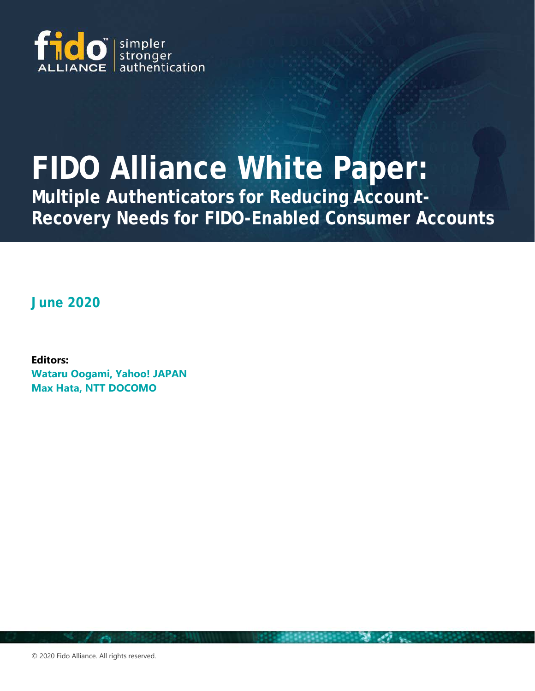

# **FIDO Alliance White Paper:**

**Multiple Authenticators for Reducing Account-Recovery Needs for FIDO-Enabled Consumer Accounts**

**June 2020**

**Editors: Wataru Oogami, Yahoo! JAPAN Max Hata, NTT DOCOMO**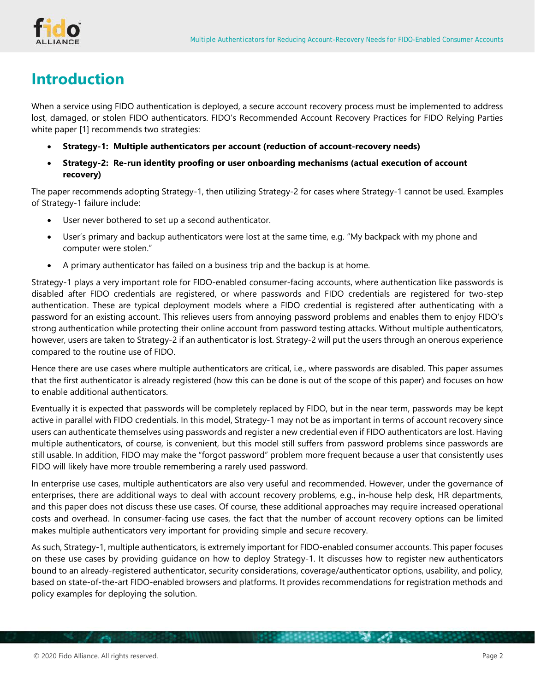# <span id="page-1-0"></span>**Introduction**

When a service using FIDO authentication is deployed, a secure account recovery process must be implemented to address lost, damaged, or stolen FIDO authenticators. FIDO's Recommended Account Recovery Practices for FIDO Relying Parties white paper [\[1\]](#page-13-0) recommends two strategies:

- **Strategy-1: Multiple authenticators per account (reduction of account-recovery needs)**
- **Strategy-2: Re-run identity proofing or user onboarding mechanisms (actual execution of account recovery)**

The paper recommends adopting Strategy-1, then utilizing Strategy-2 for cases where Strategy-1 cannot be used. Examples of Strategy-1 failure include:

- User never bothered to set up a second authenticator.
- User's primary and backup authenticators were lost at the same time, e.g. "My backpack with my phone and computer were stolen."
- A primary authenticator has failed on a business trip and the backup is at home.

Strategy-1 plays a very important role for FIDO-enabled consumer-facing accounts, where authentication like passwords is disabled after FIDO credentials are registered, or where passwords and FIDO credentials are registered for two-step authentication. These are typical deployment models where a FIDO credential is registered after authenticating with a password for an existing account. This relieves users from annoying password problems and enables them to enjoy FIDO's strong authentication while protecting their online account from password testing attacks. Without multiple authenticators, however, users are taken to Strategy-2 if an authenticator is lost. Strategy-2 will put the users through an onerous experience compared to the routine use of FIDO.

Hence there are use cases where multiple authenticators are critical, i.e., where passwords are disabled. This paper assumes that the first authenticator is already registered (how this can be done is out of the scope of this paper) and focuses on how to enable additional authenticators.

Eventually it is expected that passwords will be completely replaced by FIDO, but in the near term, passwords may be kept active in parallel with FIDO credentials. In this model, Strategy-1 may not be as important in terms of account recovery since users can authenticate themselves using passwords and register a new credential even if FIDO authenticators are lost. Having multiple authenticators, of course, is convenient, but this model still suffers from password problems since passwords are still usable. In addition, FIDO may make the "forgot password" problem more frequent because a user that consistently uses FIDO will likely have more trouble remembering a rarely used password.

In enterprise use cases, multiple authenticators are also very useful and recommended. However, under the governance of enterprises, there are additional ways to deal with account recovery problems, e.g., in-house help desk, HR departments, and this paper does not discuss these use cases. Of course, these additional approaches may require increased operational costs and overhead. In consumer-facing use cases, the fact that the number of account recovery options can be limited makes multiple authenticators very important for providing simple and secure recovery.

As such, Strategy-1, multiple authenticators, is extremely important for FIDO-enabled consumer accounts. This paper focuses on these use cases by providing guidance on how to deploy Strategy-1. It discusses how to register new authenticators bound to an already-registered authenticator, security considerations, coverage/authenticator options, usability, and policy, based on state-of-the-art FIDO-enabled browsers and platforms. It provides recommendations for registration methods and policy examples for deploying the solution.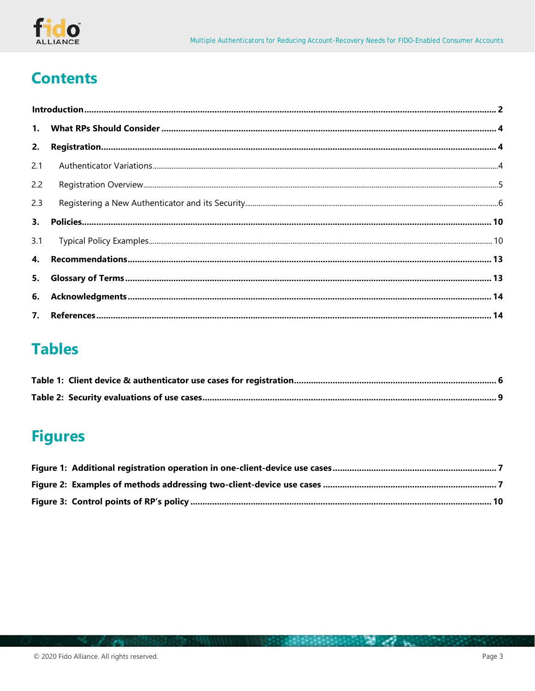

# **Contents**

| 2.  |  |  |  |  |  |  |
|-----|--|--|--|--|--|--|
| 2.1 |  |  |  |  |  |  |
| 2.2 |  |  |  |  |  |  |
| 2.3 |  |  |  |  |  |  |
| 3.  |  |  |  |  |  |  |
| 3.1 |  |  |  |  |  |  |
|     |  |  |  |  |  |  |
| 5.  |  |  |  |  |  |  |
|     |  |  |  |  |  |  |
|     |  |  |  |  |  |  |

# **Tables**

# **Figures**

计自动网络网络网络 医心包 人名英格兰人姓氏

**Sells**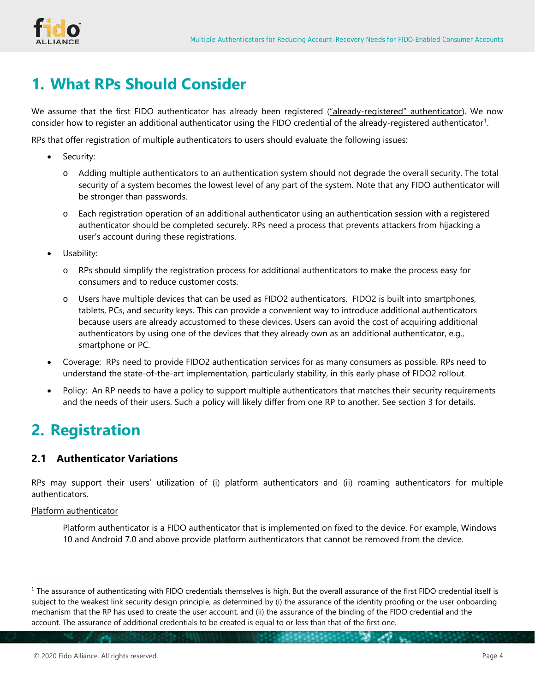

# <span id="page-3-0"></span>**1. What RPs Should Consider**

We assume that the first FIDO authenticator has already been registered ("already-registered" authenticator). We now consider how to register an additional authenticator using the FIDO credential of the already-registered authenticator<sup>[1](#page-3-3)</sup>.

RPs that offer registration of multiple authenticators to users should evaluate the following issues:

- Security:
	- o Adding multiple authenticators to an authentication system should not degrade the overall security. The total security of a system becomes the lowest level of any part of the system. Note that any FIDO authenticator will be stronger than passwords.
	- o Each registration operation of an additional authenticator using an authentication session with a registered authenticator should be completed securely. RPs need a process that prevents attackers from hijacking a user's account during these registrations.
- Usability:
	- o RPs should simplify the registration process for additional authenticators to make the process easy for consumers and to reduce customer costs.
	- o Users have multiple devices that can be used as FIDO2 authenticators. FIDO2 is built into smartphones, tablets, PCs, and security keys. This can provide a convenient way to introduce additional authenticators because users are already accustomed to these devices. Users can avoid the cost of acquiring additional authenticators by using one of the devices that they already own as an additional authenticator, e.g., smartphone or PC.
- Coverage: RPs need to provide FIDO2 authentication services for as many consumers as possible. RPs need to understand the state-of-the-art implementation, particularly stability, in this early phase of FIDO2 rollout.
- Policy: An RP needs to have a policy to support multiple authenticators that matches their security requirements and the needs of their users. Such a policy will likely differ from one RP to another. See section [3](#page-9-0) for details.

# <span id="page-3-1"></span>**2. Registration**

# <span id="page-3-2"></span>**2.1 Authenticator Variations**

RPs may support their users' utilization of (i) platform authenticators and (ii) roaming authenticators for multiple authenticators.

Platform authenticator

Platform authenticator is a FIDO authenticator that is implemented on fixed to the device. For example, Windows 10 and Android 7.0 and above provide platform authenticators that cannot be removed from the device.

<span id="page-3-3"></span><sup>&</sup>lt;sup>1</sup> The assurance of authenticating with FIDO credentials themselves is high. But the overall assurance of the first FIDO credential itself is subject to the weakest link security design principle, as determined by (i) the assurance of the identity proofing or the user onboarding mechanism that the RP has used to create the user account, and (ii) the assurance of the binding of the FIDO credential and the account. The assurance of additional credentials to be created is equal to or less than that of the first one.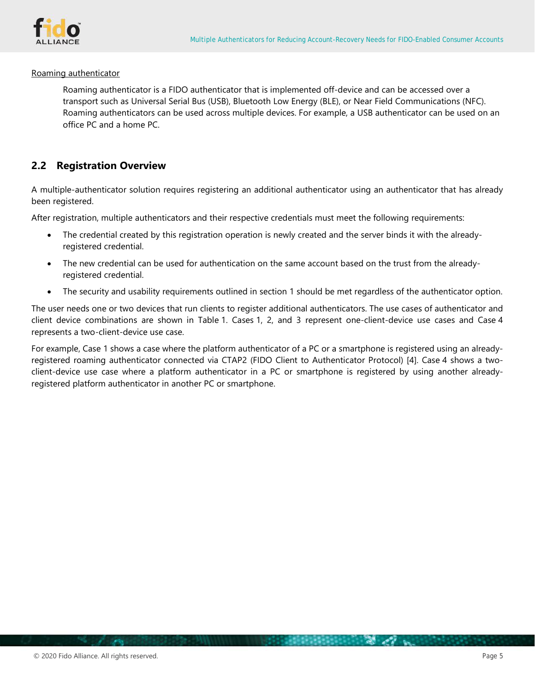

#### Roaming authenticator

Roaming authenticator is a FIDO authenticator that is implemented off-device and can be accessed over a transport such as Universal Serial Bus (USB), Bluetooth Low Energy (BLE), or Near Field Communications (NFC). Roaming authenticators can be used across multiple devices. For example, a USB authenticator can be used on an office PC and a home PC.

## <span id="page-4-0"></span>**2.2 Registration Overview**

A multiple-authenticator solution requires registering an additional authenticator using an authenticator that has already been registered.

After registration, multiple authenticators and their respective credentials must meet the following requirements:

- The credential created by this registration operation is newly created and the server binds it with the alreadyregistered credential.
- The new credential can be used for authentication on the same account based on the trust from the alreadyregistered credential.
- The security and usability requirements outlined in section [1](#page-3-0) should be met regardless of the authenticator option.

The user needs one or two devices that run clients to register additional authenticators. The use cases of authenticator and client device combinations are shown in [Table](#page-5-1) 1. Cases 1, 2, and 3 represent one-client-device use cases and Case 4 represents a two-client-device use case.

For example, Case 1 shows a case where the platform authenticator of a PC or a smartphone is registered using an alreadyregistered roaming authenticator connected via CTAP2 (FIDO Client to Authenticator Protocol) [\[4\].](#page-13-3) Case 4 shows a twoclient-device use case where a platform authenticator in a PC or smartphone is registered by using another alreadyregistered platform authenticator in another PC or smartphone.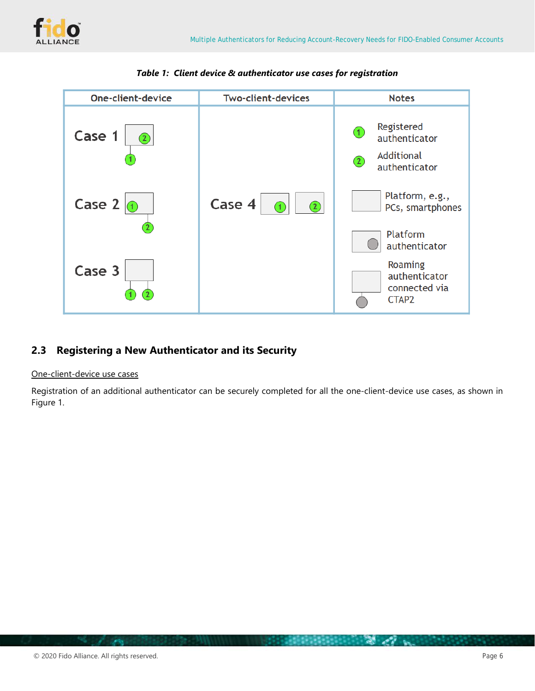

<span id="page-5-1"></span>

*Table 1: Client device & authenticator use cases for registration*

# <span id="page-5-0"></span>**2.3 Registering a New Authenticator and its Security**

### One-client-device use cases

Registration of an additional authenticator can be securely completed for all the one-client-device use cases, as shown in [Figure](#page-6-0) 1.

 $\mathcal{L}(\mathcal{F})$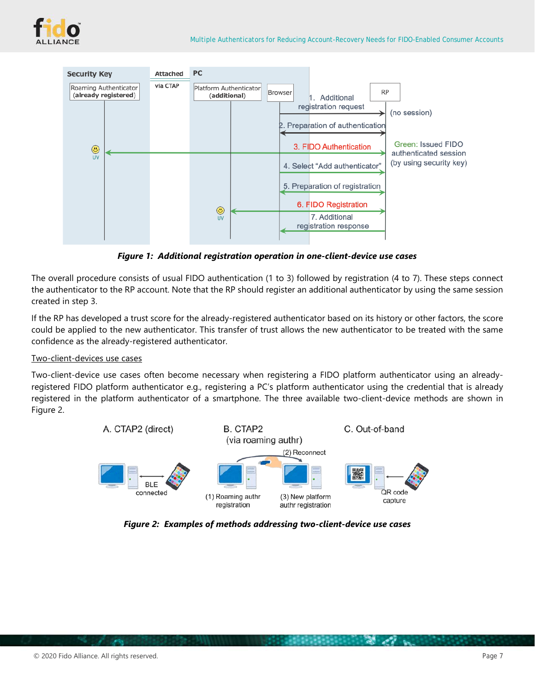



*Figure 1: Additional registration operation in one-client-device use cases*

<span id="page-6-0"></span>The overall procedure consists of usual FIDO authentication (1 to 3) followed by registration (4 to 7). These steps connect the authenticator to the RP account. Note that the RP should register an additional authenticator by using the same session created in step 3.

If the RP has developed a trust score for the already-registered authenticator based on its history or other factors, the score could be applied to the new authenticator. This transfer of trust allows the new authenticator to be treated with the same confidence as the already-registered authenticator.

### Two-client-devices use cases

Two-client-device use cases often become necessary when registering a FIDO platform authenticator using an alreadyregistered FIDO platform authenticator e.g., registering a PC's platform authenticator using the credential that is already registered in the platform authenticator of a smartphone. The three available two-client-device methods are shown in [Figure](#page-6-1) 2.



<span id="page-6-1"></span>*Figure 2: Examples of methods addressing two-client-device use cases*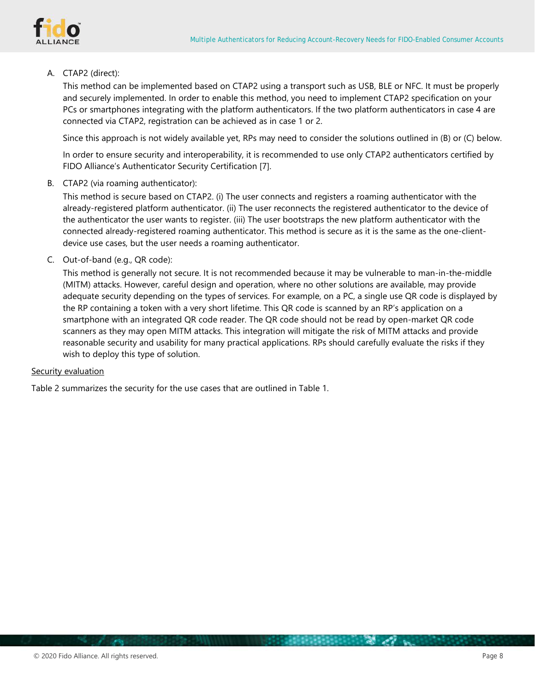

### A. CTAP2 (direct):

This method can be implemented based on CTAP2 using a transport such as USB, BLE or NFC. It must be properly and securely implemented. In order to enable this method, you need to implement CTAP2 specification on your PCs or smartphones integrating with the platform authenticators. If the two platform authenticators in case 4 are connected via CTAP2, registration can be achieved as in case 1 or 2.

Since this approach is not widely available yet, RPs may need to consider the solutions outlined in (B) or (C) below.

In order to ensure security and interoperability, it is recommended to use only CTAP2 authenticators certified by FIDO Alliance's Authenticator Security Certification [\[7\].](#page-13-4)

B. CTAP2 (via roaming authenticator):

This method is secure based on CTAP2. (i) The user connects and registers a roaming authenticator with the already-registered platform authenticator. (ii) The user reconnects the registered authenticator to the device of the authenticator the user wants to register. (iii) The user bootstraps the new platform authenticator with the connected already-registered roaming authenticator. This method is secure as it is the same as the one-clientdevice use cases, but the user needs a roaming authenticator.

C. Out-of-band (e.g., QR code):

This method is generally not secure. It is not recommended because it may be vulnerable to man-in-the-middle (MITM) attacks. However, careful design and operation, where no other solutions are available, may provide adequate security depending on the types of services. For example, on a PC, a single use QR code is displayed by the RP containing a token with a very short lifetime. This QR code is scanned by an RP's application on a smartphone with an integrated QR code reader. The QR code should not be read by open-market QR code scanners as they may open MITM attacks. This integration will mitigate the risk of MITM attacks and provide reasonable security and usability for many practical applications. RPs should carefully evaluate the risks if they wish to deploy this type of solution.

**BEREDES COMPANY** 

**All sells** 

### Security evaluation

[Table](#page-8-0) 2 summarizes the security for the use cases that are outlined in [Table](#page-5-1) 1.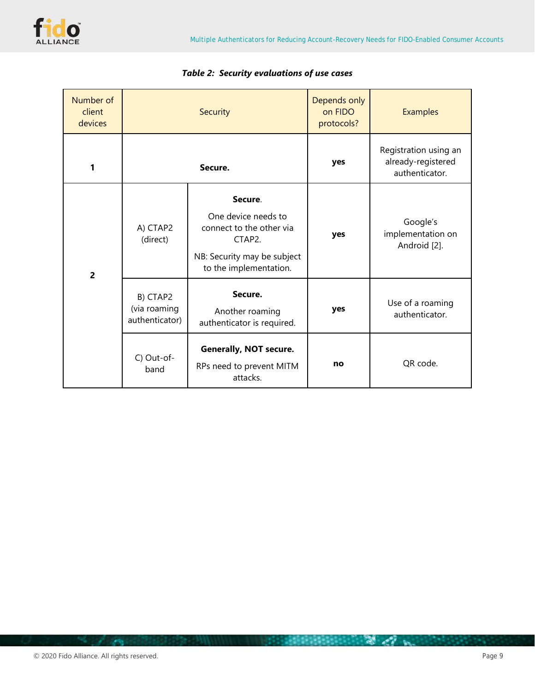

<span id="page-8-0"></span>

| Number of<br>client<br>devices |                                            | Security                                                                                                                                 | Depends only<br>on FIDO<br>protocols? | <b>Examples</b>                                               |
|--------------------------------|--------------------------------------------|------------------------------------------------------------------------------------------------------------------------------------------|---------------------------------------|---------------------------------------------------------------|
| 1                              |                                            | Secure.                                                                                                                                  | yes                                   | Registration using an<br>already-registered<br>authenticator. |
| $\overline{2}$                 | A) CTAP2<br>(direct)                       | Secure.<br>One device needs to<br>connect to the other via<br>CTAP <sub>2</sub><br>NB: Security may be subject<br>to the implementation. | yes                                   | Google's<br>implementation on<br>Android [2].                 |
|                                | B) CTAP2<br>(via roaming<br>authenticator) | Secure.<br>Another roaming<br>authenticator is required.                                                                                 | yes                                   | Use of a roaming<br>authenticator.                            |
|                                | C) Out-of-<br>band                         | <b>Generally, NOT secure.</b><br>RPs need to prevent MITM<br>attacks.                                                                    | no                                    | QR code.                                                      |

# *Table 2: Security evaluations of use cases*

**Sells**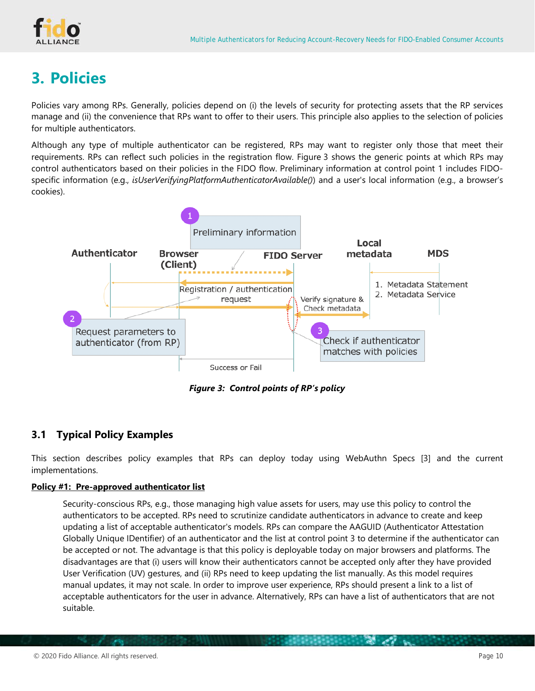

# <span id="page-9-0"></span>**3. Policies**

Policies vary among RPs. Generally, policies depend on (i) the levels of security for protecting assets that the RP services manage and (ii) the convenience that RPs want to offer to their users. This principle also applies to the selection of policies for multiple authenticators.

Although any type of multiple authenticator can be registered, RPs may want to register only those that meet their requirements. RPs can reflect such policies in the registration flow. [Figure](#page-9-2) 3 shows the generic points at which RPs may control authenticators based on their policies in the FIDO flow. Preliminary information at control point 1 includes FIDOspecific information (e.g., *isUserVerifyingPlatformAuthenticatorAvailable()*) and a user's local information (e.g., a browser's cookies).



*Figure 3: Control points of RP's policy*

# <span id="page-9-2"></span><span id="page-9-1"></span>**3.1 Typical Policy Examples**

This section describes policy examples that RPs can deploy today using WebAuthn Specs [\[3\]](#page-13-6) and the current implementations.

### **Policy #1: Pre-approved authenticator list**

Security-conscious RPs, e.g., those managing high value assets for users, may use this policy to control the authenticators to be accepted. RPs need to scrutinize candidate authenticators in advance to create and keep updating a list of acceptable authenticator's models. RPs can compare the AAGUID (Authenticator Attestation Globally Unique IDentifier) of an authenticator and the list at control point 3 to determine if the authenticator can be accepted or not. The advantage is that this policy is deployable today on major browsers and platforms. The disadvantages are that (i) users will know their authenticators cannot be accepted only after they have provided User Verification (UV) gestures, and (ii) RPs need to keep updating the list manually. As this model requires manual updates, it may not scale. In order to improve user experience, RPs should present a link to a list of acceptable authenticators for the user in advance. Alternatively, RPs can have a list of authenticators that are not suitable.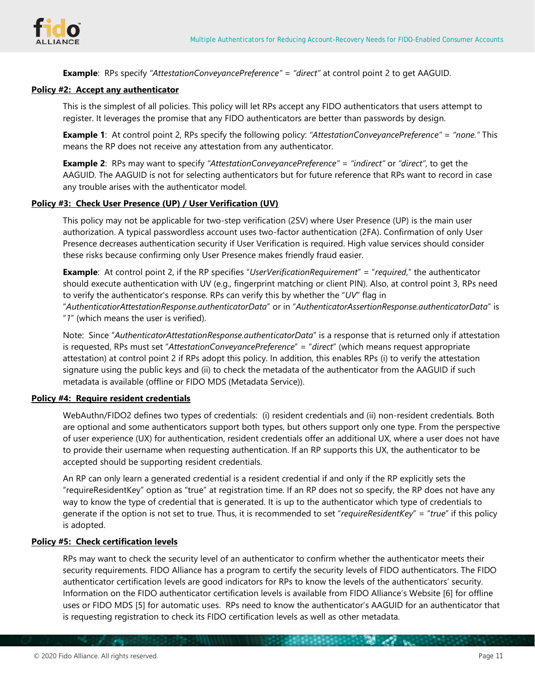

**Example**: RPs specify *"AttestationConveyancePreference"* = *"direct"* at control point 2 to get AAGUID.

#### **Policy #2: Accept any authenticator**

This is the simplest of all policies. This policy will let RPs accept any FIDO authenticators that users attempt to register. It leverages the promise that any FIDO authenticators are better than passwords by design.

**Example 1**: At control point 2, RPs specify the following policy: *"AttestationConveyancePreference"* = *"none."* This means the RP does not receive any attestation from any authenticator.

**Example 2**: RPs may want to specify *"AttestationConveyancePreference"* = *"indirect"* or *"direct"*, to get the AAGUID. The AAGUID is not for selecting authenticators but for future reference that RPs want to record in case any trouble arises with the authenticator model.

## **Policy #3: Check User Presence (UP) / User Verification (UV)**

This policy may not be applicable for two-step verification (2SV) where User Presence (UP) is the main user authorization. A typical passwordless account uses two-factor authentication (2FA). Confirmation of only User Presence decreases authentication security if User Verification is required. High value services should consider these risks because confirming only User Presence makes friendly fraud easier.

**Example**: At control point 2, if the RP specifies "*UserVerificationRequirement*" = "*required*," the authenticator should execute authentication with UV (e.g., fingerprint matching or client PIN). Also, at control point 3, RPs need to verify the authenticator's response. RPs can verify this by whether the "*UV*" flag in "*AuthenticatiorAttestationResponse.authenticatorData*" or in "*AuthenticatorAssertionResponse.authenticatorData*" is "*1*" (which means the user is verified).

Note: Since "*AuthenticatorAttestationResponse.authenticatorData*" is a response that is returned only if attestation is requested, RPs must set "*AttestationConveyancePreference*" = "*direct*" (which means request appropriate attestation) at control point 2 if RPs adopt this policy. In addition, this enables RPs (i) to verify the attestation signature using the public keys and (ii) to check the metadata of the authenticator from the AAGUID if such metadata is available (offline or FIDO MDS (Metadata Service)).

#### **Policy #4: Require resident credentials**

WebAuthn/FIDO2 defines two types of credentials: (i) resident credentials and (ii) non-resident credentials. Both are optional and some authenticators support both types, but others support only one type. From the perspective of user experience (UX) for authentication, resident credentials offer an additional UX, where a user does not have to provide their username when requesting authentication. If an RP supports this UX, the authenticator to be accepted should be supporting resident credentials.

An RP can only learn a generated credential is a resident credential if and only if the RP explicitly sets the "requireResidentKey" option as "true" at registration time. If an RP does not so specify, the RP does not have any way to know the type of credential that is generated. It is up to the authenticator which type of credentials to generate if the option is not set to true. Thus, it is recommended to set "*requireResidentKey*" = "*true*" if this policy is adopted.

### **Policy #5: Check certification levels**

RPs may want to check the security level of an authenticator to confirm whether the authenticator meets their security requirements. FIDO Alliance has a program to certify the security levels of FIDO authenticators. The FIDO authenticator certification levels are good indicators for RPs to know the levels of the authenticators' security. Information on the FIDO authenticator certification levels is available from FIDO Alliance's Website [\[6\]](#page-13-7) for offline uses or FIDO MDS [\[5\]](#page-13-8) for automatic uses. RPs need to know the authenticator's AAGUID for an authenticator that is requesting registration to check its FIDO certification levels as well as other metadata.

 $\sim$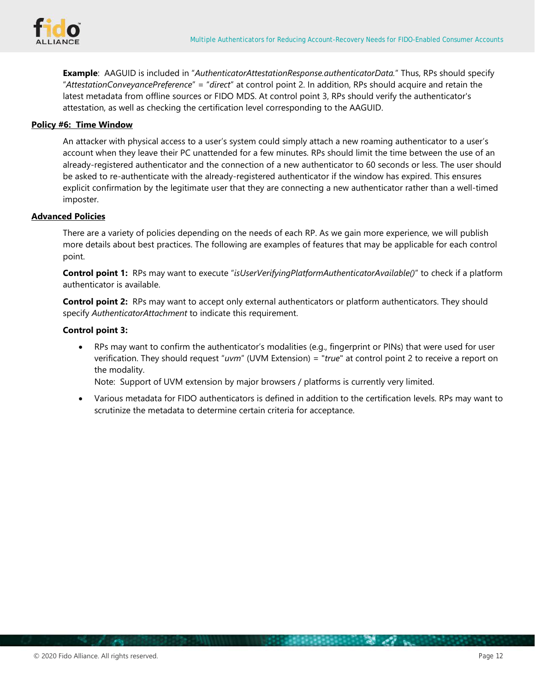

**Example**: AAGUID is included in "*AuthenticatorAttestationResponse.authenticatorData.*" Thus, RPs should specify "*AttestationConveyancePreference*" = "*direct*" at control point 2. In addition, RPs should acquire and retain the latest metadata from offline sources or FIDO MDS. At control point 3, RPs should verify the authenticator's attestation, as well as checking the certification level corresponding to the AAGUID.

### **Policy #6: Time Window**

An attacker with physical access to a user's system could simply attach a new roaming authenticator to a user's account when they leave their PC unattended for a few minutes. RPs should limit the time between the use of an already-registered authenticator and the connection of a new authenticator to 60 seconds or less. The user should be asked to re-authenticate with the already-registered authenticator if the window has expired. This ensures explicit confirmation by the legitimate user that they are connecting a new authenticator rather than a well-timed imposter.

### **Advanced Policies**

There are a variety of policies depending on the needs of each RP. As we gain more experience, we will publish more details about best practices. The following are examples of features that may be applicable for each control point.

**Control point 1:** RPs may want to execute "*isUserVerifyingPlatformAuthenticatorAvailable()*" to check if a platform authenticator is available.

**Control point 2:** RPs may want to accept only external authenticators or platform authenticators. They should specify *AuthenticatorAttachment* to indicate this requirement.

### **Control point 3:**

• RPs may want to confirm the authenticator's modalities (e.g., fingerprint or PINs) that were used for user verification. They should request "*uvm*" (UVM Extension) = "*true*" at control point 2 to receive a report on the modality.

Note: Support of UVM extension by major browsers / platforms is currently very limited.

• Various metadata for FIDO authenticators is defined in addition to the certification levels. RPs may want to scrutinize the metadata to determine certain criteria for acceptance.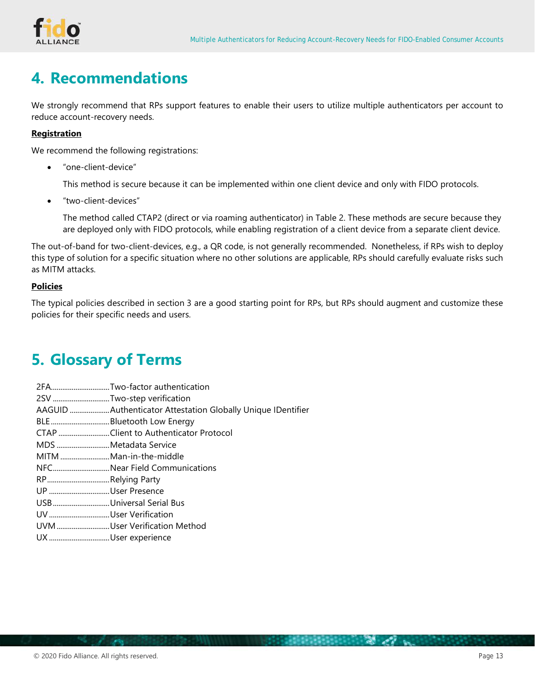

# <span id="page-12-0"></span>**4. Recommendations**

We strongly recommend that RPs support features to enable their users to utilize multiple authenticators per account to reduce account-recovery needs.

### **Registration**

We recommend the following registrations:

• "one-client-device"

This method is secure because it can be implemented within one client device and only with FIDO protocols.

• "two-client-devices"

The method called CTAP2 (direct or via roaming authenticator) in [Table](#page-8-0) 2. These methods are secure because they are deployed only with FIDO protocols, while enabling registration of a client device from a separate client device.

The out-of-band for two-client-devices, e.g., a QR code, is not generally recommended. Nonetheless, if RPs wish to deploy this type of solution for a specific situation where no other solutions are applicable, RPs should carefully evaluate risks such as MITM attacks.

### **Policies**

The typical policies described in section [3](#page-9-0) are a good starting point for RPs, but RPs should augment and customize these policies for their specific needs and users.

# <span id="page-12-1"></span>**5. Glossary of Terms**

- 2FA...............................Two-factor authentication
- 2SV ..............................Two-step verification
- AAGUID .....................Authenticator Attestation Globally Unique IDentifier
- BLE...............................Bluetooth Low Energy
- CTAP ...........................Client to Authenticator Protocol
- MDS ............................Metadata Service
- MITM ..........................Man-in-the-middle
- NFC..............................Near Field Communications
- RP.................................Relying Party
- UP ................................User Presence
- USB..............................Universal Serial Bus
- UV................................User Verification
- UVM............................User Verification Method
- UX ................................User experience